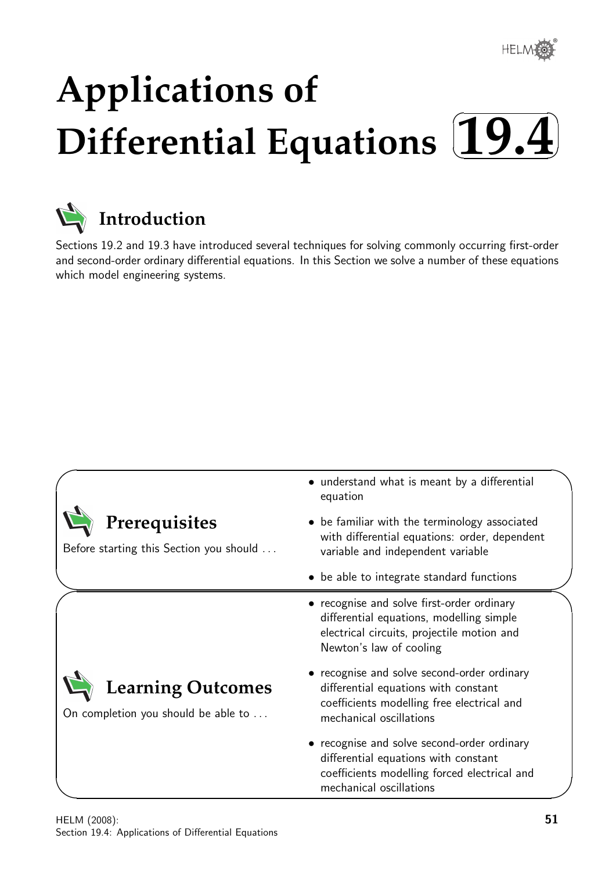®

# **Applications of** Differential Equations  $\boxed{19.4}$  $\sqrt{2}$



 $\overline{\phantom{0}}$ 

# **Introduction**

Sections 19.2 and 19.3 have introduced several techniques for solving commonly occurring first-order and second-order ordinary differential equations. In this Section we solve a number of these equations which model engineering systems.

|                                                                 | • understand what is meant by a differential<br>equation                                                                                                        |  |
|-----------------------------------------------------------------|-----------------------------------------------------------------------------------------------------------------------------------------------------------------|--|
| Prerequisites<br>Before starting this Section you should        | • be familiar with the terminology associated<br>with differential equations: order, dependent<br>variable and independent variable                             |  |
|                                                                 | • be able to integrate standard functions                                                                                                                       |  |
|                                                                 | • recognise and solve first-order ordinary<br>differential equations, modelling simple<br>electrical circuits, projectile motion and<br>Newton's law of cooling |  |
| <b>Learning Outcomes</b><br>On completion you should be able to | • recognise and solve second-order ordinary<br>differential equations with constant<br>coefficients modelling free electrical and<br>mechanical oscillations    |  |
|                                                                 | • recognise and solve second-order ordinary<br>differential equations with constant<br>coefficients modelling forced electrical and<br>mechanical oscillations  |  |
|                                                                 |                                                                                                                                                                 |  |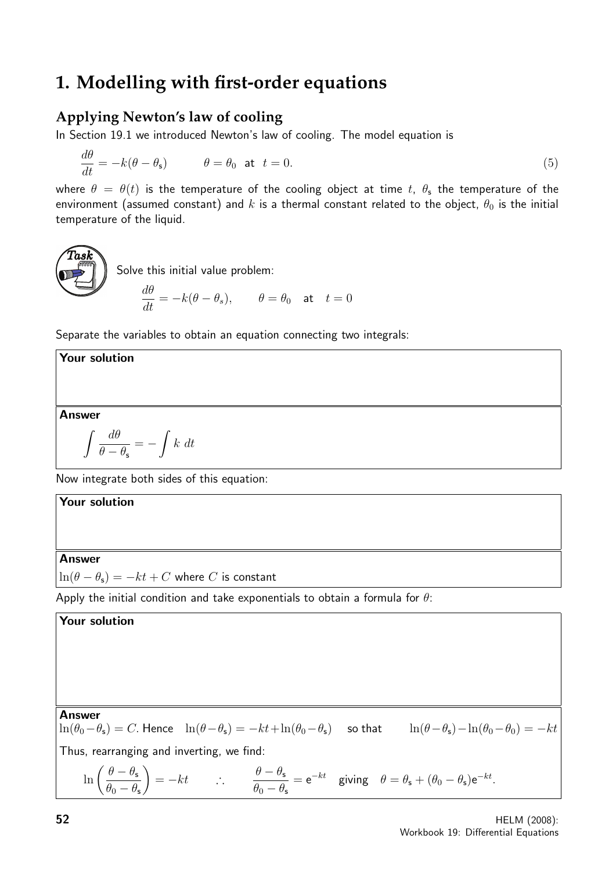# **1. Modelling with first-order equations**

### **Applying Newton's law of cooling**

In Section 19.1 we introduced Newton's law of cooling. The model equation is

$$
\frac{d\theta}{dt} = -k(\theta - \theta_{\rm s}) \qquad \theta = \theta_0 \text{ at } t = 0.
$$
\n(5)

where  $\theta = \theta(t)$  is the temperature of the cooling object at time t,  $\theta_s$  the temperature of the environment (assumed constant) and k is a thermal constant related to the object,  $\theta_0$  is the initial temperature of the liquid.

**Task**  
Solve this initial value problem:  

$$
\frac{d\theta}{dt} = -k(\theta - \theta_s), \qquad \theta = \theta_0 \quad \text{at} \quad t = 0
$$

Separate the variables to obtain an equation connecting two integrals:

### Answer

Your solution

$$
\int \frac{d\theta}{\theta-\theta_{\rm s}} = -\int k\ dt
$$

Now integrate both sides of this equation:

# Your solution Answer  $\ln(\theta - \theta_s) = -kt + C$  where C is constant Apply the initial condition and take exponentials to obtain a formula for  $\theta$ : Your solution

### Answer

 $\theta_0 - \theta_{\sf s}$ 

 $\ln(\theta_0-\theta_s) = C$ . Hence  $\ln(\theta-\theta_s) = -kt+\ln(\theta_0-\theta_s)$  so that  $\ln(\theta-\theta_s)-\ln(\theta_0-\theta_0) = -kt$ Thus, rearranging and inverting, we find:  $\ln\left(\frac{\theta-\theta_{s}}{2}\right)$  $= -kt \qquad \therefore \qquad \frac{\theta - \theta_{s}}{2}$  $= e^{-kt}$  giving  $\theta = \theta_s + (\theta_0 - \theta_s)e^{-kt}$ .

 $\theta_0 - \theta_{\sf s}$ 

52 HELM (2008): Workbook 19: Differential Equations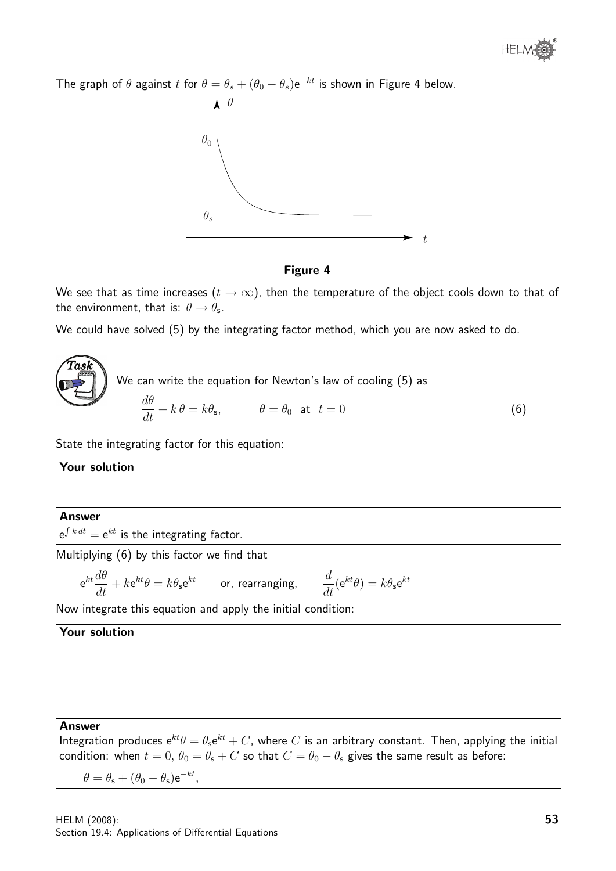

The graph of  $\theta$  against t for  $\theta = \theta_s + (\theta_0 - \theta_s) e^{-kt}$  is shown in Figure 4 below.





We see that as time increases  $(t \to \infty)$ , then the temperature of the object cools down to that of the environment, that is:  $\theta \rightarrow \theta_{\sf s}$ .

We could have solved (5) by the integrating factor method, which you are now asked to do.

 $\widehat{T}$ as $\widehat{k}$ We can write the equation for Newton's law of cooling (5) as  $d\theta$  $\frac{dv}{dt} + k\theta = k\theta_s, \qquad \theta = \theta_0 \text{ at } t = 0$  (6)

State the integrating factor for this equation:

Your solution

### Answer

 $e^{\int k\,dt}=e^{kt}$  is the integrating factor.

Multiplying (6) by this factor we find that

$$
\mathrm{e}^{kt}\frac{d\theta}{dt}+k\mathrm{e}^{kt}\theta=k\theta_{\mathrm{s}}\mathrm{e}^{kt}\qquad\text{or, rearranging,}\qquad\frac{d}{dt}(\mathrm{e}^{kt}\theta)=k\theta_{\mathrm{s}}\mathrm{e}^{kt}
$$

Now integrate this equation and apply the initial condition:

### Your solution

#### Answer

Integration produces  ${\rm e}^{kt}\theta=\theta_{\sf s}{\rm e}^{kt}+C$ , where  $C$  is an arbitrary constant. Then, applying the initial condition: when  $t = 0$ ,  $\theta_0 = \theta_s + C$  so that  $C = \theta_0 - \theta_s$  gives the same result as before:

$$
\theta = \theta_{\rm s} + (\theta_0 - \theta_{\rm s}){\rm e}^{-kt},
$$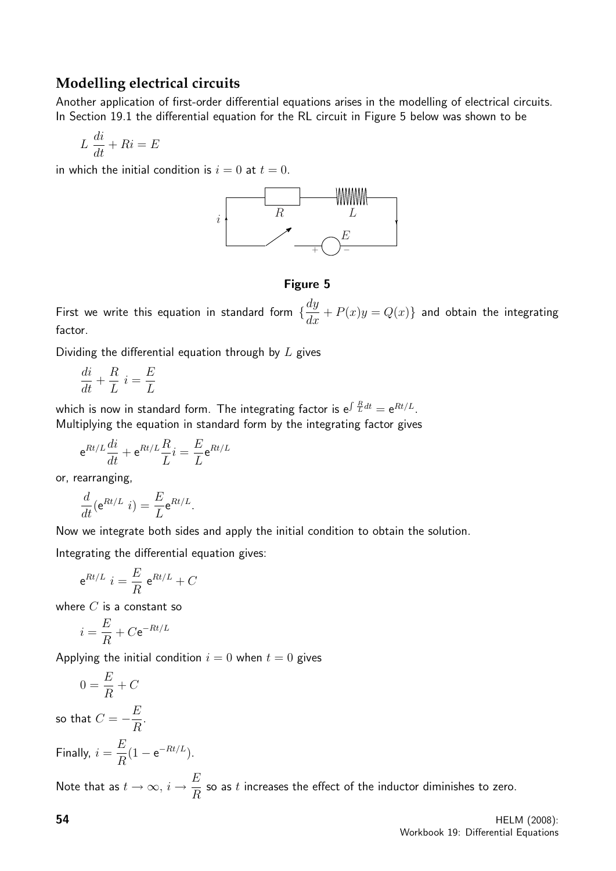### **Modelling electrical circuits**

Another application of first-order differential equations arises in the modelling of electrical circuits. In Section 19.1 the differential equation for the RL circuit in Figure 5 below was shown to be

$$
L\ \frac{di}{dt} + Ri = E
$$

in which the initial condition is  $i = 0$  at  $t = 0$ .



Figure 5

First we write this equation in standard form  $\{\dfrac{dy}{dx}+P(x)y=Q(x)\}$  and obtain the integrating factor.

Dividing the differential equation through by  $L$  gives

$$
\frac{di}{dt} + \frac{R}{L} i = \frac{E}{L}
$$

which is now in standard form. The integrating factor is  $\mathrm{e}^{\int \frac{R}{L} dt} = \mathrm{e}^{R t/L}.$ Multiplying the equation in standard form by the integrating factor gives

$$
e^{Rt/L}\frac{di}{dt} + e^{Rt/L}\frac{R}{L}i = \frac{E}{L}e^{Rt/L}
$$

or, rearranging,

$$
\frac{d}{dt}(\mathrm{e}^{Rt/L} \ i) = \frac{E}{L} \mathrm{e}^{Rt/L}.
$$

Now we integrate both sides and apply the initial condition to obtain the solution.

Integrating the differential equation gives:

$$
e^{Rt/L} i = \frac{E}{R} e^{Rt/L} + C
$$

where  $C$  is a constant so

$$
i=\frac{E}{R}+C\mathrm{e}^{-Rt/L}
$$

Applying the initial condition  $i = 0$  when  $t = 0$  gives

$$
0 = \frac{E}{R} + C
$$

so that  $C=-\dfrac{E}{R}$ R .

Finally, 
$$
i = \frac{E}{R}(1 - e^{-Rt/L}).
$$

Note that as  $t\to\infty$ ,  $i\to\frac{E}{E}$ R so as  $t$  increases the effect of the inductor diminishes to zero.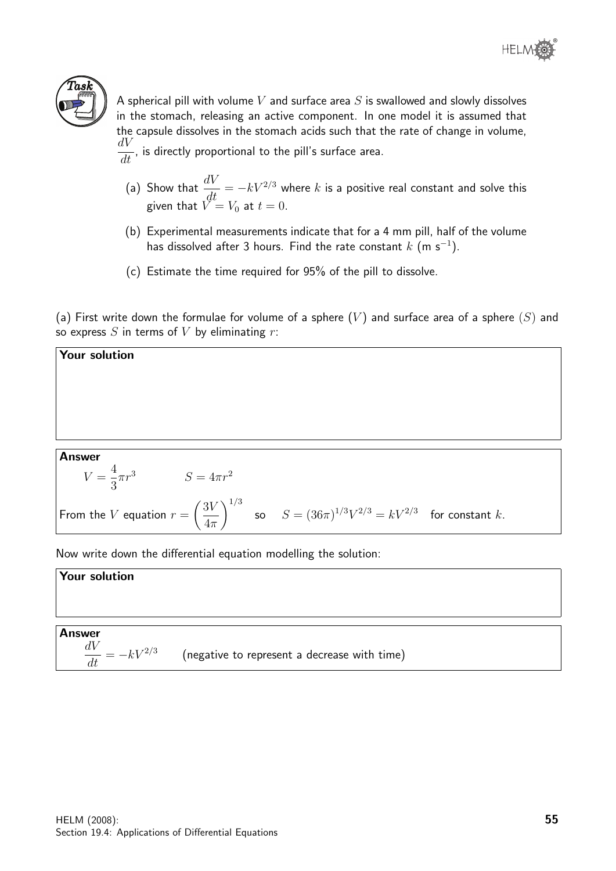

A spherical pill with volume  $V$  and surface area  $S$  is swallowed and slowly dissolves in the stomach, releasing an active component. In one model it is assumed that the capsule dissolves in the stomach acids such that the rate of change in volume,  $dV$  $\frac{d\mathbf{v}}{dt}$ , is directly proportional to the pill's surface area.

- (a) Show that  $\frac{dV}{dt} = -kV^{2/3}$  where  $k$  is a positive real constant and solve this given that  $V=V_0$  at  $t=0.$
- (b) Experimental measurements indicate that for a 4 mm pill, half of the volume has dissolved after 3 hours. Find the rate constant  $k$  (m s $^{\rm -1}).$
- (c) Estimate the time required for 95% of the pill to dissolve.

(a) First write down the formulae for volume of a sphere  $(V)$  and surface area of a sphere  $(S)$  and so express  $S$  in terms of  $V$  by eliminating  $r$ :

#### Answer  $V =$ 4 3  $S = 4\pi r^2$ From the  $V$  equation  $r =$  $\sqrt{3V}$  $4\pi$  $\bigwedge^{1/3}$ so  $S = (36\pi)^{1/3} V^{2/3} = kV^{2/3}$  for constant k.

Now write down the differential equation modelling the solution:

### Your solution

Your solution

Answer  
\n
$$
\frac{dV}{dt} = -kV^{2/3}
$$
 (negative to represent a decrease with time)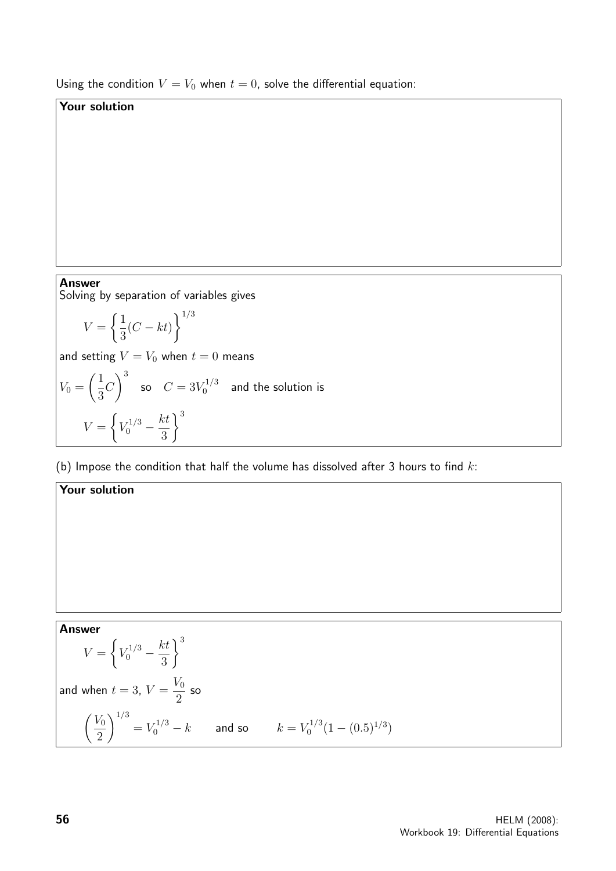Using the condition  $V = V_0$  when  $t = 0$ , solve the differential equation:

### Your solution

# **Answer**

Solving by separation of variables gives

$$
V = \left\{ \frac{1}{3}(C - kt) \right\}^{1/3}
$$

Your solution

and setting  $V = V_0$  when  $t = 0$  means

$$
V_0 = \left(\frac{1}{3}C\right)^3 \quad \text{so} \quad C = 3V_0^{1/3} \quad \text{and the solution is}
$$
\n
$$
V = \left\{V_0^{1/3} - \frac{kt}{3}\right\}^3
$$

(b) Impose the condition that half the volume has dissolved after 3 hours to find  $k$ :

Answer  
\n
$$
V = \left\{ V_0^{1/3} - \frac{kt}{3} \right\}^3
$$
\nand when  $t = 3$ ,  $V = \frac{V_0}{2}$  so\n
$$
\left( \frac{V_0}{2} \right)^{1/3} = V_0^{1/3} - k
$$
 and so  $k = V_0^{1/3} (1 - (0.5)^{1/3})$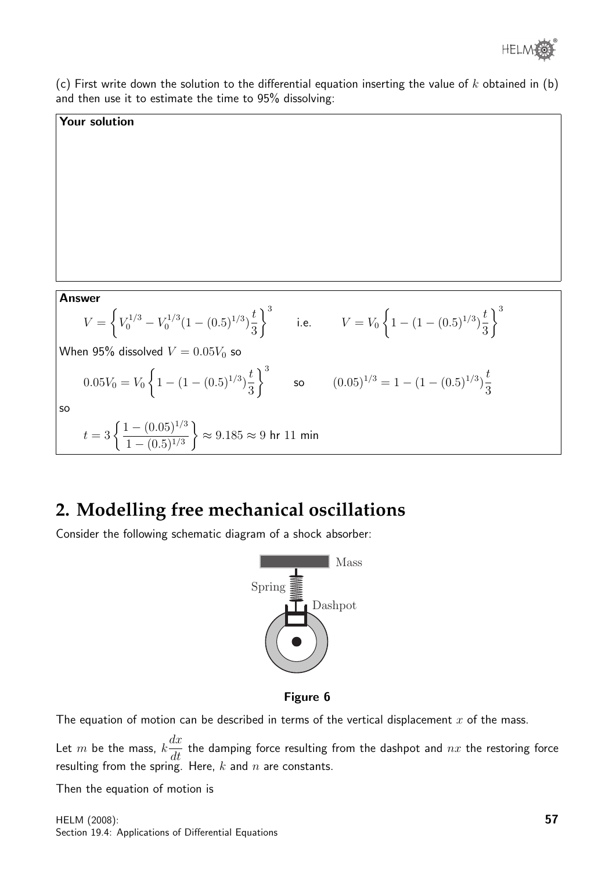

(c) First write down the solution to the differential equation inserting the value of  $k$  obtained in (b) and then use it to estimate the time to 95% dissolving:

### Your solution

Answer  
\n
$$
V = \left\{ V_0^{1/3} - V_0^{1/3} (1 - (0.5)^{1/3}) \frac{t}{3} \right\}^3
$$
\ni.e.  $V = V_0 \left\{ 1 - (1 - (0.5)^{1/3}) \frac{t}{3} \right\}^3$   
\nWhen 95% dissolved  $V = 0.05V_0$  so  
\n
$$
0.05V_0 = V_0 \left\{ 1 - (1 - (0.5)^{1/3}) \frac{t}{3} \right\}^3
$$
\nso  $(0.05)^{1/3} = 1 - (1 - (0.5)^{1/3}) \frac{t}{3}$   
\nso  
\n
$$
t = 3 \left\{ \frac{1 - (0.05)^{1/3}}{1 - (0.5)^{1/3}} \right\} \approx 9.185 \approx 9 \text{ hr } 11 \text{ min}
$$

## **2. Modelling free mechanical oscillations**

Consider the following schematic diagram of a shock absorber:



#### Figure 6

The equation of motion can be described in terms of the vertical displacement  $x$  of the mass.

Let  $m$  be the mass,  $k$  $dx$  $\frac{du}{dt}$  the damping force resulting from the dashpot and  $nx$  the restoring force resulting from the spring. Here,  $k$  and  $n$  are constants.

Then the equation of motion is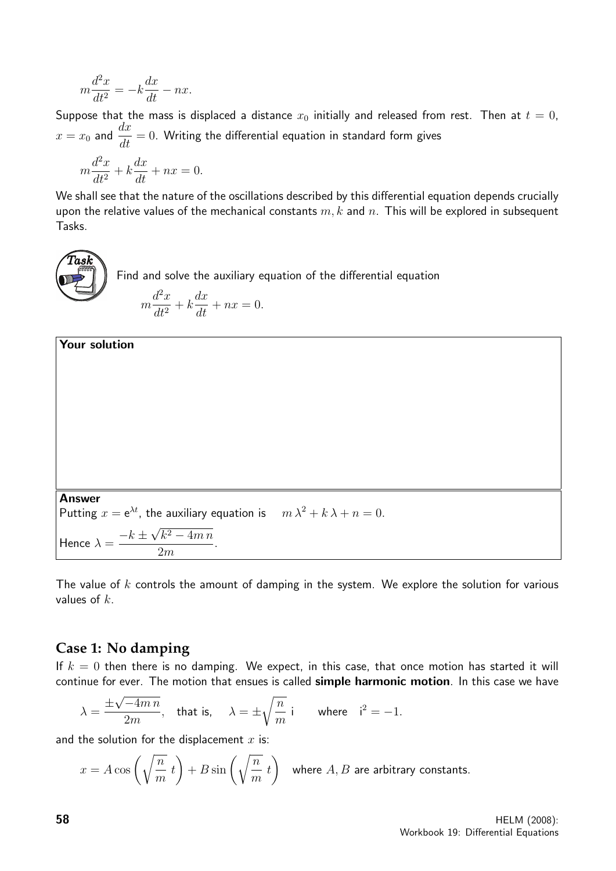$$
m\frac{d^2x}{dt^2} = -k\frac{dx}{dt} - nx.
$$

Suppose that the mass is displaced a distance  $x_0$  initially and released from rest. Then at  $t = 0$ ,  $x=x_0$  and  $\dfrac{dx}{dt}=0.$  Writing the differential equation in standard form gives

$$
m\frac{d^2x}{dt^2} + k\frac{dx}{dt} + nx = 0.
$$

Your solution

We shall see that the nature of the oscillations described by this differential equation depends crucially upon the relative values of the mechanical constants  $m, k$  and  $n$ . This will be explored in subsequent Tasks.

 $\widehat{T}$ as $\widehat{k}$ Find and solve the auxiliary equation of the differential equation m  $d^2x$  $\frac{d^2}{dt^2} + k$  $dx$  $\frac{dx}{dt} + nx = 0.$ 

Answer  
Putting 
$$
x = e^{\lambda t}
$$
, the auxiliary equation is  $m\lambda^2 + k\lambda + n = 0$ .  
Hence  $\lambda = \frac{-k \pm \sqrt{k^2 - 4mn}}{2m}$ .

The value of  $k$  controls the amount of damping in the system. We explore the solution for various values of  $k$ .

## **Case 1: No damping**

If  $k = 0$  then there is no damping. We expect, in this case, that once motion has started it will continue for ever. The motion that ensues is called simple harmonic motion. In this case we have

$$
\lambda = \frac{\pm \sqrt{-4mn}}{2m}
$$
, that is,  $\lambda = \pm \sqrt{\frac{n}{m}}$  i where  $i^2 = -1$ .

and the solution for the displacement  $x$  is:

$$
x = A\cos\left(\sqrt{\frac{n}{m}}\ t\right) + B\sin\left(\sqrt{\frac{n}{m}}\ t\right)
$$
 where *A*, *B* are arbitrary constants.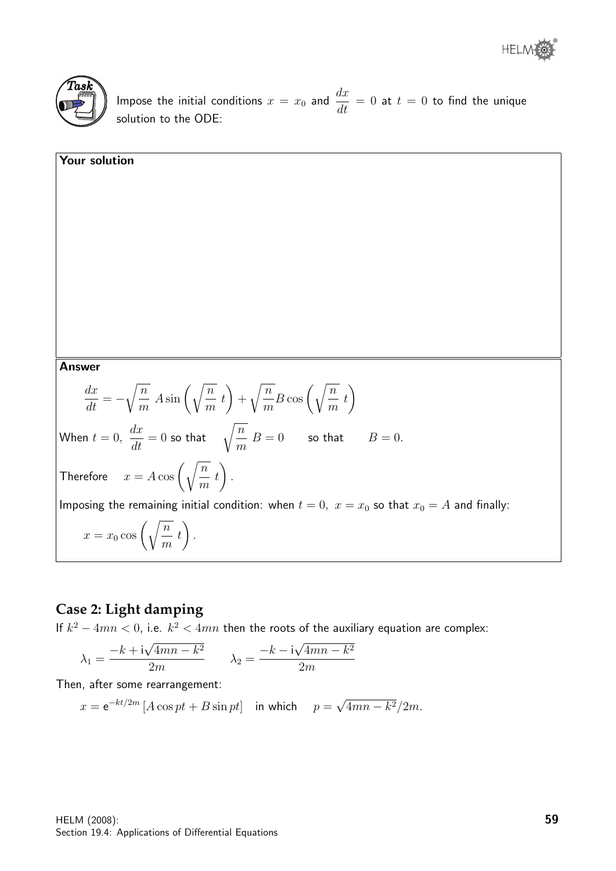



Impose the initial conditions  $x = x_0$  and  $\frac{dx}{dt} = 0$  at  $t = 0$  to find the unique solution to the ODE:

**Answer**  
\n
$$
\frac{dx}{dt} = -\sqrt{\frac{n}{m}} A \sin\left(\sqrt{\frac{n}{m}} t\right) + \sqrt{\frac{n}{m}} B \cos\left(\sqrt{\frac{n}{m}} t\right)
$$
\nWhen  $t = 0$ ,  $\frac{dx}{dt} = 0$  so that  $\sqrt{\frac{n}{m}} B = 0$  so that  $B = 0$ .  
\nTherefore  $x = A \cos\left(\sqrt{\frac{n}{m}} t\right)$ .  
\nImposing the remaining initial condition: when  $t = 0$ ,  $x = x_0$  so that  $x_0 = A$  and finally:  
\n $x = x_0 \cos\left(\sqrt{\frac{n}{m}} t\right)$ .

### **Case 2: Light damping**

If  $k^2 - 4mn < 0$ , i.e.  $k^2 < 4mn$  then the roots of the auxiliary equation are complex:

$$
\lambda_1 = \frac{-k + i\sqrt{4mn - k^2}}{2m} \qquad \lambda_2 = \frac{-k - i\sqrt{4mn - k^2}}{2m}
$$

Then, after some rearrangement:

 $x = e^{-kt/2m} [A \cos pt + B \sin pt]$  in which  $p =$ √  $4mn - k^2/2m$ .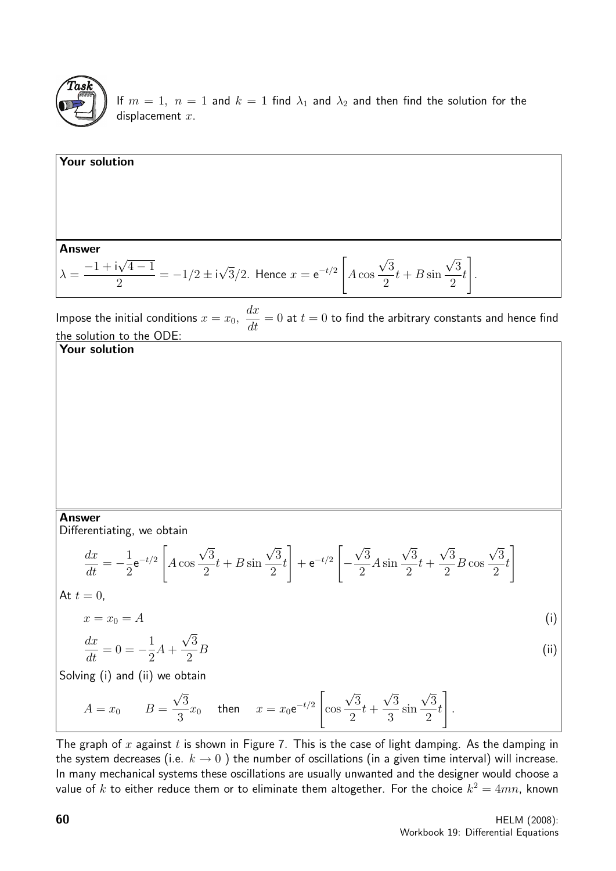

If  $m = 1$ ,  $n = 1$  and  $k = 1$  find  $\lambda_1$  and  $\lambda_2$  and then find the solution for the displacement  $x$ .

Your solution  
\nAnswer  
\n
$$
\lambda = \frac{-1 + i\sqrt{4 - 1}}{2} = -1/2 \pm i\sqrt{3}/2.
$$
 Hence  $x = e^{-t/2} \left[ A \cos \frac{\sqrt{3}}{2}t + B \sin \frac{\sqrt{3}}{2}t \right].$ 

Impose the initial conditions  $x = x_0$ ,  $dx$  $\frac{d\mathbf{x}}{dt} = 0$  at  $t = 0$  to find the arbitrary constants and hence find the solution to the ODE:

Your solution

### Answer

Differentiating, we obtain

$$
\frac{dx}{dt} = -\frac{1}{2}e^{-t/2} \left[ A \cos \frac{\sqrt{3}}{2}t + B \sin \frac{\sqrt{3}}{2}t \right] + e^{-t/2} \left[ -\frac{\sqrt{3}}{2} A \sin \frac{\sqrt{3}}{2}t + \frac{\sqrt{3}}{2} B \cos \frac{\sqrt{3}}{2}t \right]
$$
  
At  $t = 0$ .

$$
x = x_0 = A \tag{i}
$$

$$
\frac{dx}{dt} = 0 = -\frac{1}{2}A + \frac{\sqrt{3}}{2}B\tag{ii}
$$

Solving (i) and (ii) we obtain

$$
A = x_0 \qquad B = \frac{\sqrt{3}}{3}x_0 \quad \text{ then } \quad x = x_0 e^{-t/2} \left[ \cos \frac{\sqrt{3}}{2} t + \frac{\sqrt{3}}{3} \sin \frac{\sqrt{3}}{2} t \right].
$$

The graph of  $x$  against  $t$  is shown in Figure 7. This is the case of light damping. As the damping in the system decreases (i.e.  $k \to 0$ ) the number of oscillations (in a given time interval) will increase. In many mechanical systems these oscillations are usually unwanted and the designer would choose a value of  $k$  to either reduce them or to eliminate them altogether. For the choice  $k^2=4mn$ , known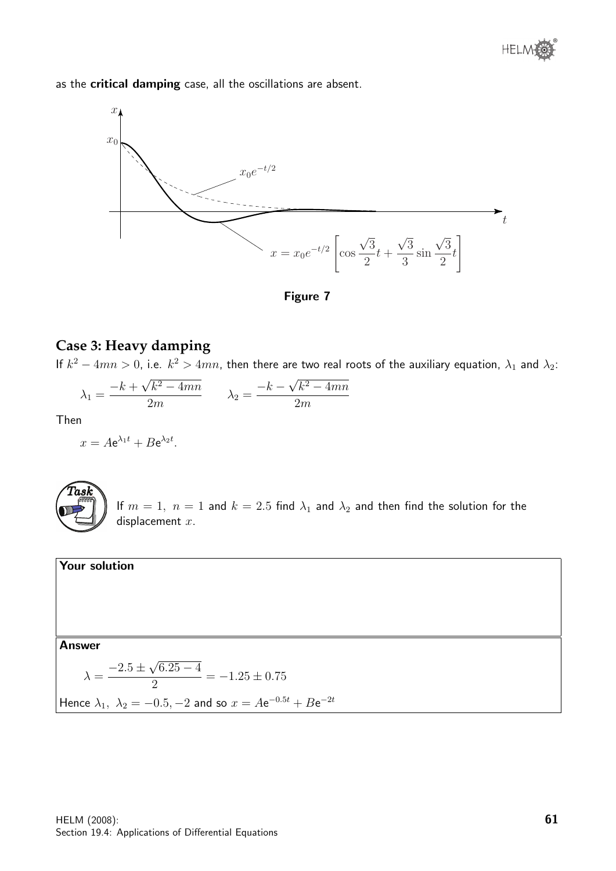as the critical damping case, all the oscillations are absent.



Figure 7

### **Case 3: Heavy damping**

If  $k^2-4mn>0$ , i.e.  $k^2>4mn$ , then there are two real roots of the auxiliary equation,  $\lambda_1$  and  $\lambda_2$ :

$$
\lambda_1 = \frac{-k + \sqrt{k^2 - 4mn}}{2m} \qquad \lambda_2 = \frac{-k - \sqrt{k^2 - 4mn}}{2m}
$$

Then

$$
x = A e^{\lambda_1 t} + B e^{\lambda_2 t}.
$$



If  $m = 1$ ,  $n = 1$  and  $k = 2.5$  find  $\lambda_1$  and  $\lambda_2$  and then find the solution for the displacement  $x$ .

### Your solution

### Answer

$$
\lambda = \frac{-2.5 \pm \sqrt{6.25 - 4}}{2} = -1.25 \pm 0.75
$$

Hence 
$$
\lambda_1
$$
,  $\lambda_2 = -0.5$ ,  $-2$  and so  $x = Ae^{-0.5t} + Be^{-2t}$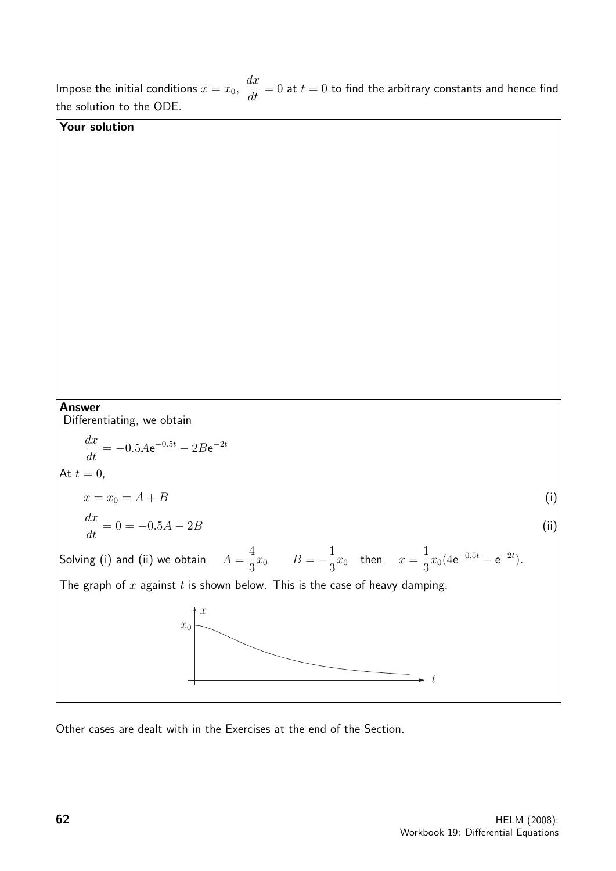Impose the initial conditions  $x = x_0$ ,  $\frac{d\mathbf{x}}{dt} = 0$  at  $t = 0$  to find the arbitrary constants and hence find the solution to the ODE. Your solution Answer Differentiating, we obtain  $\frac{dx}{dt} = -0.5Ae^{-0.5t} - 2Be^{-2t}$ At  $t = 0$ ,  $x = x_0 = A + B$  (i)  $\frac{dx}{dt} = 0 = -0.5A - 2B$  (ii) Solving (i) and (ii) we obtain  $A =$ 4  $\frac{4}{3}x_0$   $B=-\frac{1}{3}$  $\frac{1}{3}x_0$  then  $x =$ 1  $rac{1}{3}x_0(4e^{-0.5t}-e^{-2t}).$ The graph of  $x$  against  $t$  is shown below. This is the case of heavy damping. t  $\overline{x}_0$  $\mathcal{X}$ 

 $dx$ 

Other cases are dealt with in the Exercises at the end of the Section.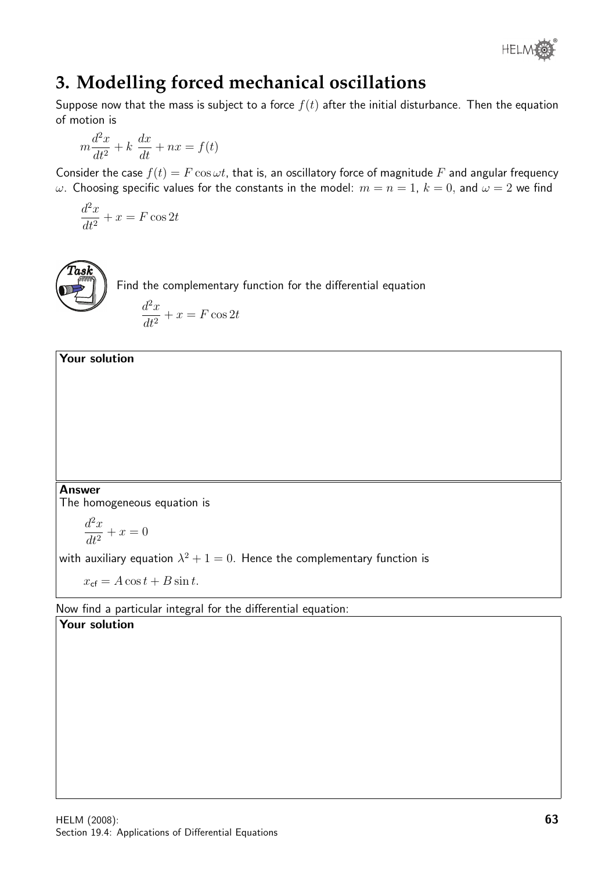

# **3. Modelling forced mechanical oscillations**

Suppose now that the mass is subject to a force  $f(t)$  after the initial disturbance. Then the equation of motion is

$$
m\frac{d^2x}{dt^2} + k\ \frac{dx}{dt} + nx = f(t)
$$

Consider the case  $f(t) = F \cos \omega t$ , that is, an oscillatory force of magnitude F and angular frequency  $ω$ . Choosing specific values for the constants in the model:  $m = n = 1$ ,  $k = 0$ , and  $ω = 2$  we find

$$
\frac{d^2x}{dt^2} + x = F\cos 2t
$$



Find the complementary function for the differential equation

$$
\frac{d^2x}{dt^2} + x = F\cos 2t
$$

### Your solution

### Answer

The homogeneous equation is

$$
\frac{d^2x}{dt^2} + x = 0
$$

with auxiliary equation  $\lambda^2+1=0.$  Hence the complementary function is

 $x_{cf} = A \cos t + B \sin t.$ 

Now find a particular integral for the differential equation:

### Your solution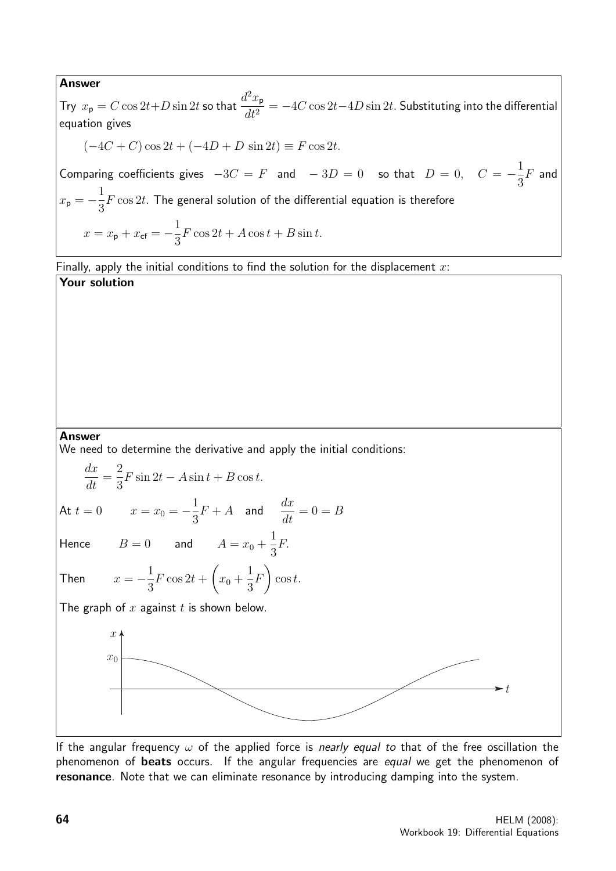#### Answer

Try  $x_{\mathsf{p}} = C \cos 2t + D \sin 2t$  so that  $\frac{d^2 x_{\mathsf{p}}}{dt^2}$  $dt^2$  $= -4C \cos 2t - 4D \sin 2t$ . Substituting into the differential equation gives  $(-4C + C) \cos 2t + (-4D + D) \sin 2t \equiv F \cos 2t.$ Comparing coefficients gives  $-3C = F$  and  $-3D = 0$  so that  $D = 0$ ,  $C = -\frac{1}{2}$ 3  $F$  and  $x_{\rm p} = -\frac{1}{2}$ 3  $F\cos 2t$ . The general solution of the differential equation is therefore  $x = x_{\rm p} + x_{\rm cf} = -\frac{1}{2}$ 3  $F \cos 2t + A \cos t + B \sin t.$ 

Finally, apply the initial conditions to find the solution for the displacement  $x$ : Your solution

#### Answer

We need to determine the derivative and apply the initial conditions:

$$
\frac{dx}{dt} = \frac{2}{3}F\sin 2t - A\sin t + B\cos t.
$$
\nAt  $t = 0$   $x = x_0 = -\frac{1}{3}F + A$  and  $\frac{dx}{dt} = 0 = B$   
\nHence  $B = 0$  and  $A = x_0 + \frac{1}{3}F$ .  
\nThen  $x = -\frac{1}{3}F\cos 2t + (x_0 + \frac{1}{3}F)\cos t$ .  
\nThe graph of  $x$  against  $t$  is shown below.  
\n
$$
\begin{array}{c}\nx \\
x_0\n\end{array}
$$

If the angular frequency  $\omega$  of the applied force is nearly equal to that of the free oscillation the phenomenon of beats occurs. If the angular frequencies are equal we get the phenomenon of resonance. Note that we can eliminate resonance by introducing damping into the system.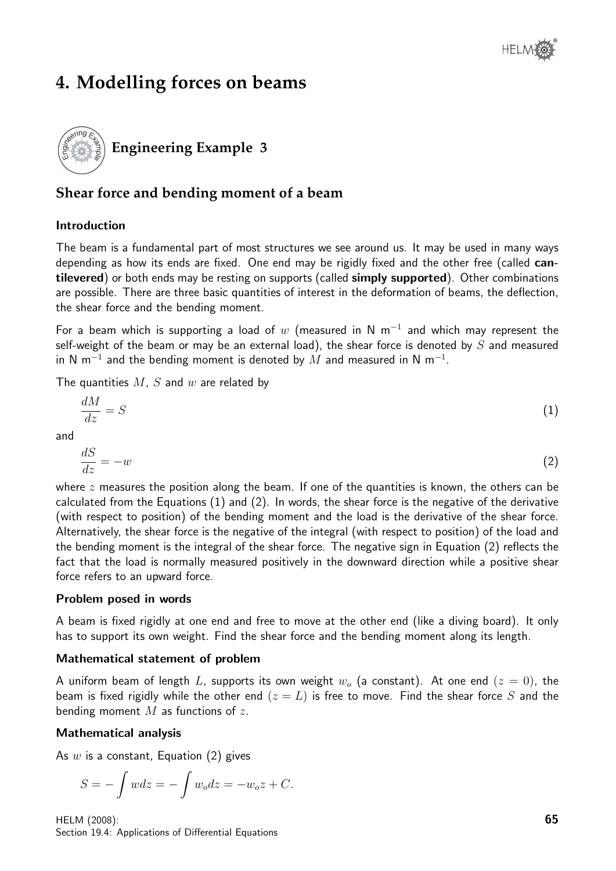# **4. Modelling forces on beams**



### **Shear force and bending moment of a beam**

### Introduction

The beam is a fundamental part of most structures we see around us. It may be used in many ways depending as how its ends are fixed. One end may be rigidly fixed and the other free (called cantilevered) or both ends may be resting on supports (called simply supported). Other combinations are possible. There are three basic quantities of interest in the deformation of beams, the deflection, the shear force and the bending moment.

For a beam which is supporting a load of  $w$  (measured in N m<sup>-1</sup> and which may represent the self-weight of the beam or may be an external load), the shear force is denoted by  $S$  and measured in N m $^{-1}$  and the bending moment is denoted by  $M$  and measured in N m $^{-1}$ .

The quantities  $M, S$  and  $w$  are related by

$$
\frac{dM}{dz} = S \tag{1}
$$

and

$$
\frac{dS}{dz} = -w\tag{2}
$$

where  $z$  measures the position along the beam. If one of the quantities is known, the others can be calculated from the Equations (1) and (2). In words, the shear force is the negative of the derivative (with respect to position) of the bending moment and the load is the derivative of the shear force. Alternatively, the shear force is the negative of the integral (with respect to position) of the load and the bending moment is the integral of the shear force. The negative sign in Equation (2) reflects the fact that the load is normally measured positively in the downward direction while a positive shear force refers to an upward force.

### Problem posed in words

A beam is fixed rigidly at one end and free to move at the other end (like a diving board). It only has to support its own weight. Find the shear force and the bending moment along its length.

### Mathematical statement of problem

A uniform beam of length L, supports its own weight  $w<sub>o</sub>$  (a constant). At one end  $(z = 0)$ , the beam is fixed rigidly while the other end  $(z = L)$  is free to move. Find the shear force S and the bending moment  $M$  as functions of  $z$ .

### Mathematical analysis

As  $w$  is a constant, Equation (2) gives

$$
S = -\int wdz = -\int w_o dz = -w_o z + C.
$$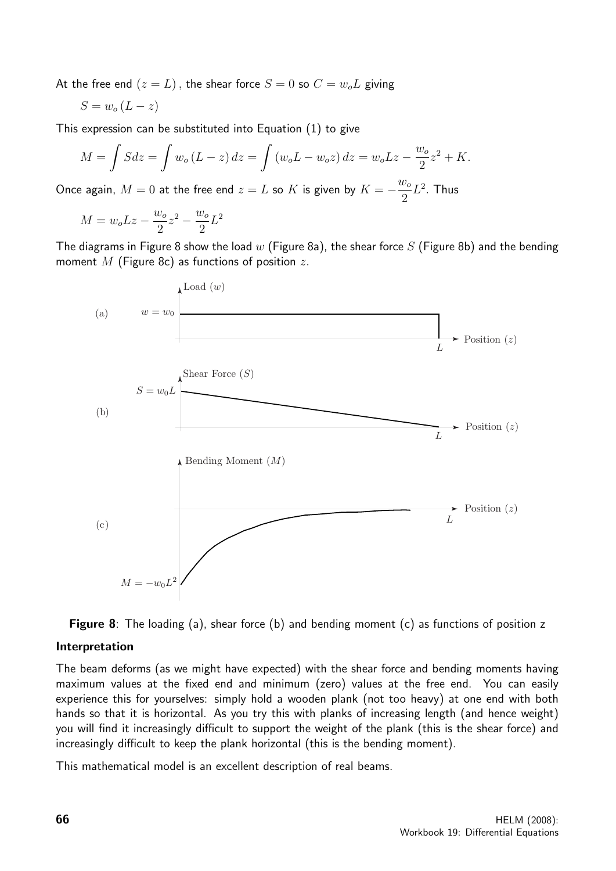At the free end  $(z = L)$ , the shear force  $S = 0$  so  $C = w_0 L$  giving

$$
S = w_o \left( L - z \right)
$$

This expression can be substituted into Equation (1) to give

$$
M = \int S dz = \int w_o (L - z) dz = \int (w_o L - w_o z) dz = w_o L z - \frac{w_o}{2} z^2 + K.
$$

Once again,  $M = 0$  at the free end  $z = L$  so  $K$  is given by  $K = -\frac{w_o}{2}$ 2  $L^2$ . Thus

$$
M=w_o L z-\frac{w_o}{2}z^2-\frac{w_o}{2}L^2
$$

The diagrams in Figure 8 show the load  $w$  (Figure 8a), the shear force S (Figure 8b) and the bending moment  $M$  (Figure 8c) as functions of position  $z$ .





### Interpretation

The beam deforms (as we might have expected) with the shear force and bending moments having maximum values at the fixed end and minimum (zero) values at the free end. You can easily experience this for yourselves: simply hold a wooden plank (not too heavy) at one end with both hands so that it is horizontal. As you try this with planks of increasing length (and hence weight) you will find it increasingly difficult to support the weight of the plank (this is the shear force) and increasingly difficult to keep the plank horizontal (this is the bending moment).

This mathematical model is an excellent description of real beams.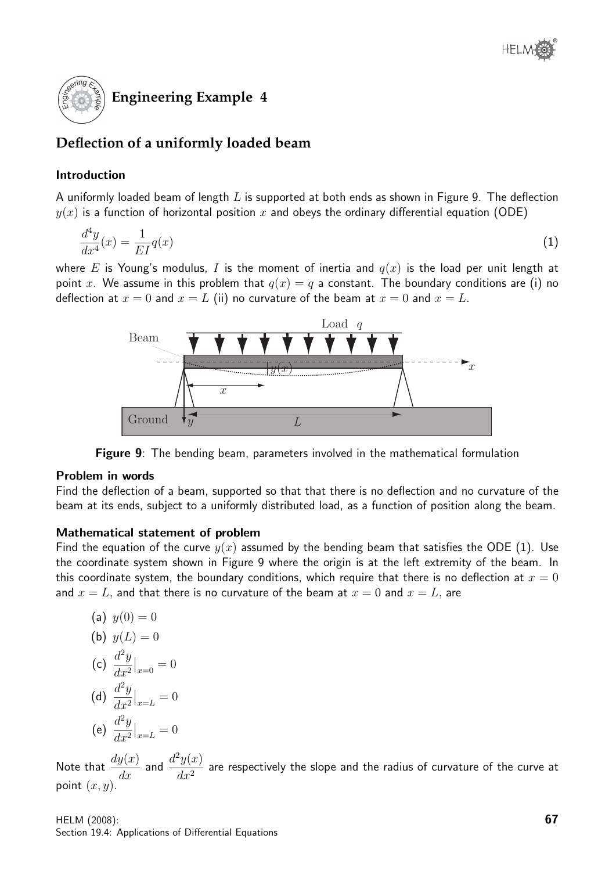

### **Deflection of a uniformly loaded beam**

### Introduction

A uniformly loaded beam of length  $L$  is supported at both ends as shown in Figure 9. The deflection  $y(x)$  is a function of horizontal position x and obeys the ordinary differential equation (ODE)

$$
\frac{d^4y}{dx^4}(x) = \frac{1}{EI}q(x) \tag{1}
$$

where E is Young's modulus, I is the moment of inertia and  $q(x)$  is the load per unit length at point x. We assume in this problem that  $q(x) = q$  a constant. The boundary conditions are (i) no deflection at  $x = 0$  and  $x = L$  (ii) no curvature of the beam at  $x = 0$  and  $x = L$ .



Figure 9: The bending beam, parameters involved in the mathematical formulation

### Problem in words

Find the deflection of a beam, supported so that that there is no deflection and no curvature of the beam at its ends, subject to a uniformly distributed load, as a function of position along the beam.

### Mathematical statement of problem

Find the equation of the curve  $y(x)$  assumed by the bending beam that satisfies the ODE (1). Use the coordinate system shown in Figure 9 where the origin is at the left extremity of the beam. In this coordinate system, the boundary conditions, which require that there is no deflection at  $x = 0$ and  $x = L$ , and that there is no curvature of the beam at  $x = 0$  and  $x = L$ , are

(a) 
$$
y(0) = 0
$$
  
\n(b)  $y(L) = 0$   
\n(c)  $\frac{d^2y}{dx^2}\Big|_{x=0} = 0$   
\n(d)  $\frac{d^2y}{dx^2}\Big|_{x=L} = 0$   
\n(e)  $\frac{d^2y}{dx^2}\Big|_{x=L} = 0$ 

Note that  $\frac{dy(x)}{dx}$  and  $\frac{d^2y(x)}{dx^2}$  $\frac{g(w)}{dx^2}$  are respectively the slope and the radius of curvature of the curve at point  $(x, y)$ .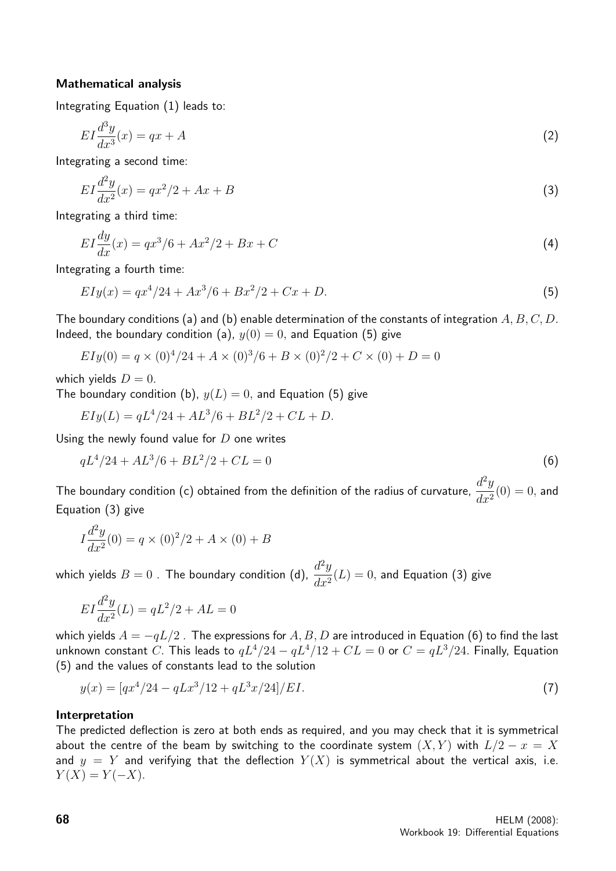### Mathematical analysis

Integrating Equation (1) leads to:

$$
EI\frac{d^3y}{dx^3}(x) = qx + A\tag{2}
$$

Integrating a second time:

$$
EI\frac{d^2y}{dx^2}(x) = qx^2/2 + Ax + B
$$
\n(3)

Integrating a third time:

$$
EI\frac{dy}{dx}(x) = qx^3/6 + Ax^2/2 + Bx + C
$$
\n(4)

Integrating a fourth time:

$$
EIy(x) = qx^4/24 + Ax^3/6 + Bx^2/2 + Cx + D.
$$
\n(5)

The boundary conditions (a) and (b) enable determination of the constants of integration  $A, B, C, D$ . Indeed, the boundary condition (a),  $y(0) = 0$ , and Equation (5) give

$$
EIy(0) = q \times (0)^{4}/24 + A \times (0)^{3}/6 + B \times (0)^{2}/2 + C \times (0) + D = 0
$$

which yields  $D = 0$ .

The boundary condition (b),  $y(L) = 0$ , and Equation (5) give

$$
EIy(L) = qL^4/24 + AL^3/6 + BL^2/2 + CL + D.
$$

Using the newly found value for  $D$  one writes

$$
qL^4/24 + AL^3/6 + BL^2/2 + CL = 0
$$
\n(6)

The boundary condition (c) obtained from the definition of the radius of curvature,  $\frac{d^2y}{dx^2}$  $\frac{d^2y}{dx^2}(0) = 0$ , and Equation (3) give

$$
I\frac{d^2y}{dx^2}(0) = q \times (0)^2/2 + A \times (0) + B
$$

which yields  $B=0$  . The boundary condition (d),  $\frac{d^2y}{dx^2}$  $\frac{d^2y}{dx^2}(L) = 0$ , and Equation (3) give

$$
EI\frac{d^2y}{dx^2}(L) = qL^2/2 + AL = 0
$$

which yields  $A = -qL/2$ . The expressions for  $A, B, D$  are introduced in Equation (6) to find the last unknown constant C. This leads to  $qL^4/24 - qL^4/12 + CL = 0$  or  $C = qL^3/24$ . Finally, Equation (5) and the values of constants lead to the solution

$$
y(x) = [qx^4/24 - qLx^3/12 + qL^3x/24]/EI.
$$
\n(7)

#### Interpretation

The predicted deflection is zero at both ends as required, and you may check that it is symmetrical about the centre of the beam by switching to the coordinate system  $(X, Y)$  with  $L/2 - x = X$ and  $y = Y$  and verifying that the deflection  $Y(X)$  is symmetrical about the vertical axis, i.e.  $Y(X) = Y(-X)$ .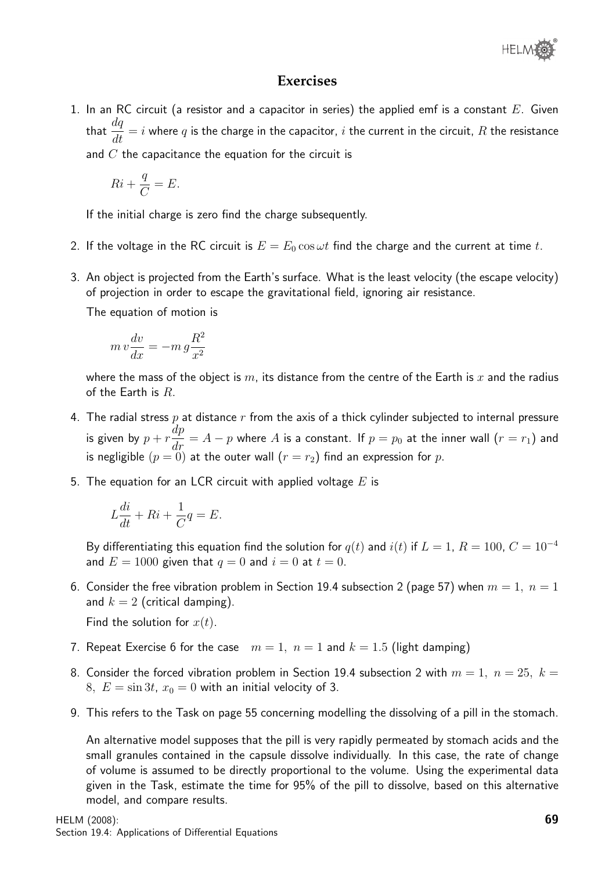

### **Exercises**

1. In an RC circuit (a resistor and a capacitor in series) the applied emf is a constant  $E$ . Given that  $\frac{dq}{dt}$  $\frac{dq}{dt} = i$  where  $q$  is the charge in the capacitor,  $i$  the current in the circuit,  $R$  the resistance and  $C$  the capacitance the equation for the circuit is

$$
Ri + \frac{q}{C} = E.
$$

If the initial charge is zero find the charge subsequently.

- 2. If the voltage in the RC circuit is  $E = E_0 \cos \omega t$  find the charge and the current at time t.
- 3. An object is projected from the Earth's surface. What is the least velocity (the escape velocity) of projection in order to escape the gravitational field, ignoring air resistance.

The equation of motion is

$$
m\,v\frac{dv}{dx} = -m\,g\frac{R^2}{x^2}
$$

where the mass of the object is m, its distance from the centre of the Earth is x and the radius of the Earth is  $R$ .

- 4. The radial stress  $p$  at distance  $r$  from the axis of a thick cylinder subjected to internal pressure is given by  $p + r$  $\displaystyle \frac{dp}{dr} = A - p$  where  $A$  is a constant. If  $p = p_0$  at the inner wall  $(r=r_1)$  and is negligible  $(p=0)$  at the outer wall  $(r=r_2)$  find an expression for  $p$ .
- 5. The equation for an LCR circuit with applied voltage  $E$  is

$$
L\frac{di}{dt} + Ri + \frac{1}{C}q = E.
$$

By differentiating this equation find the solution for  $q(t)$  and  $i(t)$  if  $L = 1$ ,  $R = 100$ ,  $C = 10^{-4}$ and  $E = 1000$  given that  $q = 0$  and  $i = 0$  at  $t = 0$ .

6. Consider the free vibration problem in Section 19.4 subsection 2 (page 57) when  $m = 1$ ,  $n = 1$ and  $k = 2$  (critical damping).

Find the solution for  $x(t)$ .

- 7. Repeat Exercise 6 for the case  $m = 1$ ,  $n = 1$  and  $k = 1.5$  (light damping)
- 8. Consider the forced vibration problem in Section 19.4 subsection 2 with  $m = 1, n = 25, k = 1$ 8,  $E = \sin 3t$ ,  $x_0 = 0$  with an initial velocity of 3.
- 9. This refers to the Task on page 55 concerning modelling the dissolving of a pill in the stomach.

An alternative model supposes that the pill is very rapidly permeated by stomach acids and the small granules contained in the capsule dissolve individually. In this case, the rate of change of volume is assumed to be directly proportional to the volume. Using the experimental data given in the Task, estimate the time for 95% of the pill to dissolve, based on this alternative model, and compare results.